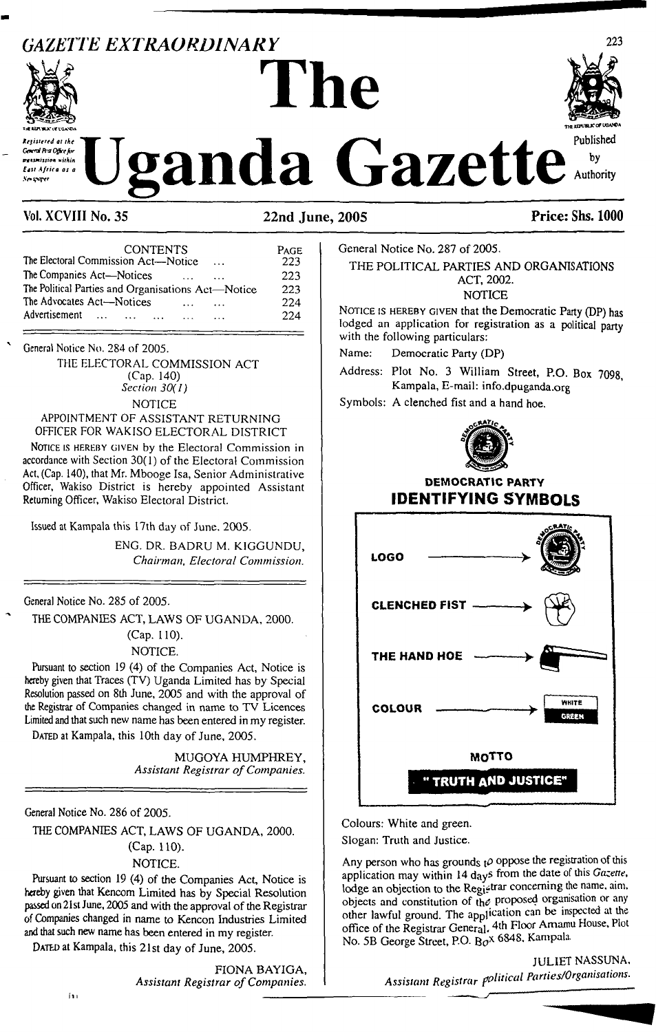## *GAZETTE EXTRAORDINARY*



# $\frac{1}{2}$ *Keginerd at* the</sub> Uganda Gazette in Westpress within



## **Vol. XCVIII No. 35 22nd June, 2005 Price: Shs. 1000**

| <b>CONTENTS</b>                                    | PAGE |  |
|----------------------------------------------------|------|--|
| The Electoral Commission Act—Notice<br>$\cdots$    | 223  |  |
| The Companies Act-Notices                          | 223  |  |
| The Political Parties and Organisations Act-Notice | 223  |  |
| The Advocates Act-Notices                          | 224  |  |
| Advertisement<br><b><i>The Service</i></b>         | 224  |  |
|                                                    |      |  |

**General Notice No. 284 of 2005.**

THE ELECTORAL COMMISSION ACT (Cap. 140) *Section 30(I)* **NOTICE** 

#### APPOINTMENT OF ASSISTANT RETURNING OFFICER FOR WAKISO ELECTORAL DISTRICT

NOTICE IS HEREBY GIVEN by the Electoral Commission in accordance with Section 30(1) of the Electoral Commission Act, (Cap. 140), that Mr. Mbooge Isa, Senior Administrative Officer, Wakiso District is hereby appointed Assistant Returning Officer, Wakiso Electoral District.

Issued at Kampala this 17th day of June. 2005.

ENG. DR. BADRU M. KIGGUNDU, *Chairman, Electoral Commission.*

General Notice No. 285 of 2005.

THE COMPANIES ACT, LAWS OF UGANDA, 2000.

(Cap. 110).

NOTICE.

Pursuant to section 19 (4) of the Companies Act, Notice is hereby given that Traces (TV) Uganda Limited has by Special Resolution passed on 8th June, 2005 and with the approval of the Registrar of Companies changed in name to TV Licences Limited and that such new name has been entered in my register. DATED at Kampala, this 10th day of June, 2005.

> MUGOYA HUMPHREY, *Assistant Registrar ofCompanies.*

General Notice No. 286 of 2005.

THE COMPANIES ACT, LAWS OF UGANDA, 2000. (Cap. 110). NOTICE.

Pursuant to section 19 (4) of the Companies Act, Notice is hereby given that Kencom Limited has by Special Resolution passed on 21st June, 2005 and with the approval of the Registrar of Companies changed in name to Kencon Industries Limited and that such new name has been entered in my register.

DATED at Kampala, this 21st day of June, 2005.

FIONA BAYIGA, *Assistant Registrar ofCompanies.*

General Notice No. 287 of 2005.

THE POLITICAL PARTIES AND ORGANISATIONS ACT, 2002.

**NOTICE** 

NOTICE IS HEREBY GIVEN that the Democratic Party (DP) has lodged an application for registration as a political party with the following particulars:

Name: Democratic Party (DP)

Address: Plot No. 3 William Street, P.O. Box 7098 Kampala, E-mail: <info.dpuganda.org>

Symbols: A clenched fist and a hand hoe.



## **DEMOCRATIC PARTY IDENTIFYING SYMBOLS**



Colours: White and green. Slogan: Truth and Justice.

Any person who has grounds  $t^{\rho}$  oppose the registration of this application may within 14 days from the date of this Gazette, lodge an objection to the Registrar concerning the name, aim, objects and constitution of the proposed organisation or any other lawful ground. The application can be inspected at the office of the Registrar General. 4th Floor Amamu House, Plot No. 5B George Street, P.O- 6848. Kampala.

> JULIET NASSUNA, *Assistant Registrar f^al Parties/Organisations.*